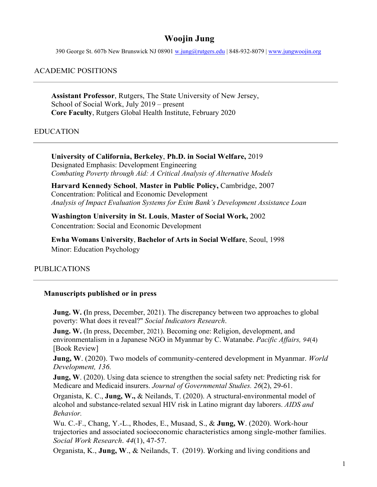# **Woojin Jung**

390 George St. 607b New Brunswick NJ 08901 [w.jung@rutgers.edu](mailto:w.jung@%20rutgers.edu) | 848-932-8079 | [www.jungwoojin.org](https://www.jungwoojin.org/)

### ACADEMIC POSITIONS

**Assistant Professor**, Rutgers, The State University of New Jersey, School of Social Work, July 2019 – present **Core Faculty**, Rutgers Global Health Institute, February 2020

#### EDUCATION

**University of California, Berkeley**, **Ph.D. in Social Welfare,** 2019 Designated Emphasis: Development Engineering *Combating Poverty through Aid: A Critical Analysis of Alternative Models* 

**Harvard Kennedy School**, **Master in Public Policy,** Cambridge, 2007 Concentration: Political and Economic Development *Analysis of Impact Evaluation Systems for Exim Bank's Development Assistance Loan*

**Washington University in St. Louis**, **Master of Social Work,** 2002 Concentration: Social and Economic Development

**Ewha Womans University**, **Bachelor of Arts in Social Welfare**, Seoul, 1998 Minor: Education Psychology

#### PUBLICATIONS

#### **Manuscripts published or in press**

**Jung. W. (**In press, December, 2021). The discrepancy between two approaches to global poverty: What does it reveal?" *Social Indicators Research*.

**Jung. W.** (In press, December, 2021). Becoming one: Religion, development, and environmentalism in a Japanese NGO in Myanmar by C. Watanabe. *Pacific Affairs, 94*(4) [Book Review]

**Jung, W**. (2020). Two models of community-centered development in Myanmar. *World Development, 136.* 

**Jung, W**. (2020). Using data science to strengthen the social safety net: Predicting risk for Medicare and Medicaid insurers. *Journal of Governmental Studies. 26*(2), 29-61.

Organista, K. C., **Jung, W.,** & Neilands, T. (2020). A structural-environmental model of alcohol and substance-related sexual HIV risk in Latino migrant day laborers. *AIDS and Behavior.* 

Wu. C.-F., Chang, Y.-L., Rhodes, E., Musaad, S., & **Jung, W**. (2020). Work-hour trajectories and associated socioeconomic characteristics among single-mother families. *Social Work Research*. *44*(1), 47-57.

Organista, K., **Jung, W**., & Neilands, T. (2019). Working and living conditions and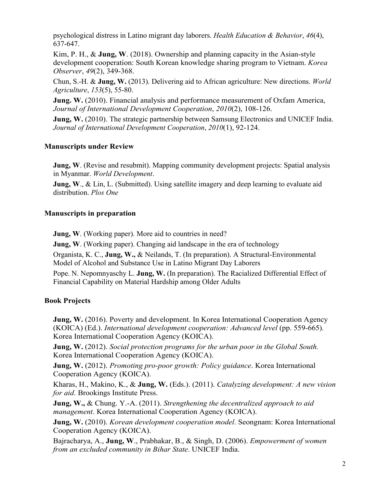psychological distress in Latino migrant day laborers. *Health Education & Behavior*, *46*(4), 637-647.

Kim, P. H., & **Jung, W**. (2018). Ownership and planning capacity in the Asian-style development cooperation: South Korean knowledge sharing program to Vietnam. *Korea Observer*, *49*(2), 349-368.

Chun, S.-H. & **Jung, W.** (2013). Delivering aid to African agriculture: New directions. *World Agriculture*, *153*(5), 55-80.

**Jung. W.** (2010). Financial analysis and performance measurement of Oxfam America, *Journal of International Development Cooperation*, *2010*(2), 108-126.

**Jung, W.** (2010). The strategic partnership between Samsung Electronics and UNICEF India. *Journal of International Development Cooperation*, *2010*(1), 92-124.

#### **Manuscripts under Review**

**Jung, W**. (Revise and resubmit). Mapping community development projects: Spatial analysis in Myanmar. *World Development*.

**Jung, W., & Lin, L. (Submitted).** Using satellite imagery and deep learning to evaluate aid distribution. *Plos One*

### **Manuscripts in preparation**

**Jung, W.** (Working paper). More aid to countries in need?

**Jung, W.** (Working paper). Changing aid landscape in the era of technology

Organista, K. C., **Jung, W.,** & Neilands, T. (In preparation). A Structural-Environmental Model of Alcohol and Substance Use in Latino Migrant Day Laborers

Pope. N. Nepomnyaschy L. **Jung, W.** (In preparation). The Racialized Differential Effect of Financial Capability on Material Hardship among Older Adults

#### **Book Projects**

**Jung, W.** (2016). Poverty and development. In Korea International Cooperation Agency (KOICA) (Ed.). *International development cooperation: Advanced level* (pp. 559-665). Korea International Cooperation Agency (KOICA).

**Jung, W.** (2012). *Social protection programs for the urban poor in the Global South.* Korea International Cooperation Agency (KOICA).

**Jung, W.** (2012). *Promoting pro-poor growth: Policy guidance*. Korea International Cooperation Agency (KOICA).

Kharas, H., Makino, K., & **Jung, W.** (Eds.). (2011). *Catalyzing development: A new vision for aid*. Brookings Institute Press.

**Jung, W.,** & Chung. Y.-A. (2011). *Strengthening the decentralized approach to aid management*. Korea International Cooperation Agency (KOICA).

**Jung, W.** (2010). *Korean development cooperation model*. Seongnam: Korea International Cooperation Agency (KOICA).

Bajracharya, A., **Jung, W**., Prabhakar, B., & Singh, D. (2006). *Empowerment of women from an excluded community in Bihar State*. UNICEF India.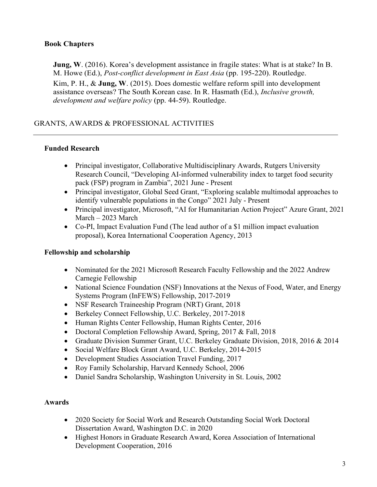### **Book Chapters**

**Jung, W**. (2016). Korea's development assistance in fragile states: What is at stake? In B. M. Howe (Ed.), *Post-conflict development in East Asia* (pp. 195-220). Routledge. Kim, P. H., & **Jung, W**. (2015). Does domestic welfare reform spill into development assistance overseas? The South Korean case. In R. Hasmath (Ed.), *Inclusive growth, development and welfare policy* (pp. 44-59). Routledge.

## GRANTS, AWARDS & PROFESSIONAL ACTIVITIES

### **Funded Research**

- Principal investigator, Collaborative Multidisciplinary Awards, Rutgers University Research Council, "Developing AI-informed vulnerability index to target food security pack (FSP) program in Zambia", 2021 June - Present
- Principal investigator, Global Seed Grant, "Exploring scalable multimodal approaches to identify vulnerable populations in the Congo" 2021 July - Present
- Principal investigator, Microsoft, "AI for Humanitarian Action Project" Azure Grant, 2021 March – 2023 March
- Co-PI, Impact Evaluation Fund (The lead author of a \$1 million impact evaluation proposal), Korea International Cooperation Agency, 2013

#### **Fellowship and scholarship**

- Nominated for the 2021 Microsoft Research Faculty Fellowship and the 2022 Andrew Carnegie Fellowship
- National Science Foundation (NSF) Innovations at the Nexus of Food, Water, and Energy Systems Program (InFEWS) Fellowship, 2017-2019
- NSF Research Traineeship Program (NRT) Grant, 2018
- Berkeley Connect Fellowship, U.C. Berkeley, 2017-2018
- Human Rights Center Fellowship, Human Rights Center, 2016
- Doctoral Completion Fellowship Award, Spring, 2017 & Fall, 2018
- Graduate Division Summer Grant, U.C. Berkeley Graduate Division, 2018, 2016 & 2014
- Social Welfare Block Grant Award, U.C. Berkeley, 2014-2015
- Development Studies Association Travel Funding, 2017
- Roy Family Scholarship, Harvard Kennedy School, 2006
- Daniel Sandra Scholarship, Washington University in St. Louis, 2002

### **Awards**

- 2020 Society for Social Work and Research Outstanding Social Work Doctoral Dissertation Award, Washington D.C. in 2020
- Highest Honors in Graduate Research Award, Korea Association of International Development Cooperation, 2016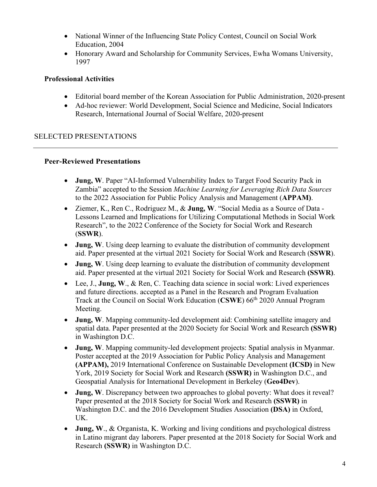- National Winner of the Influencing State Policy Contest, Council on Social Work Education, 2004
- Honorary Award and Scholarship for Community Services, Ewha Womans University, 1997

# **Professional Activities**

- Editorial board member of the Korean Association for Public Administration, 2020-present
- Ad-hoc reviewer: World Development, Social Science and Medicine, Social Indicators Research, International Journal of Social Welfare, 2020-present

## SELECTED PRESENTATIONS

### **Peer-Reviewed Presentations**

- **Jung, W**. Paper "AI-Informed Vulnerability Index to Target Food Security Pack in Zambia" accepted to the Session *Machine Learning for Leveraging Rich Data Sources* to the 2022 Association for Public Policy Analysis and Management (**APPAM)**.
- Ziemer, K., Ren C., Rodriguez M., & **Jung, W**. "Social Media as a Source of Data Lessons Learned and Implications for Utilizing Computational Methods in Social Work Research", to the 2022 Conference of the Society for Social Work and Research (**SSWR**).
- **Jung, W**. Using deep learning to evaluate the distribution of community development aid. Paper presented at the virtual 2021 Society for Social Work and Research (**SSWR**).
- **Jung, W**. Using deep learning to evaluate the distribution of community development aid. Paper presented at the virtual 2021 Society for Social Work and Research **(SSWR)**.
- Lee, J., **Jung, W**., & Ren, C. Teaching data science in social work: Lived experiences and future directions. accepted as a Panel in the Research and Program Evaluation Track at the Council on Social Work Education (**CSWE**) 66th 2020 Annual Program Meeting.
- **Jung, W**. Mapping community-led development aid: Combining satellite imagery and spatial data. Paper presented at the 2020 Society for Social Work and Research **(SSWR)** in Washington D.C.
- **Jung, W**. Mapping community-led development projects: Spatial analysis in Myanmar. Poster accepted at the 2019 Association for Public Policy Analysis and Management **(APPAM),** 2019 International Conference on Sustainable Development **(ICSD)** in New York, 2019 Society for Social Work and Research **(SSWR)** in Washington D.C., and Geospatial Analysis for International Development in Berkeley (**Geo4Dev**).
- **Jung, W**. Discrepancy between two approaches to global poverty: What does it reveal? Paper presented at the 2018 Society for Social Work and Research **(SSWR)** in Washington D.C. and the 2016 Development Studies Association **(DSA)** in Oxford, UK.
- **Jung, W**., & Organista, K. Working and living conditions and psychological distress in Latino migrant day laborers. Paper presented at the 2018 Society for Social Work and Research **(SSWR)** in Washington D.C.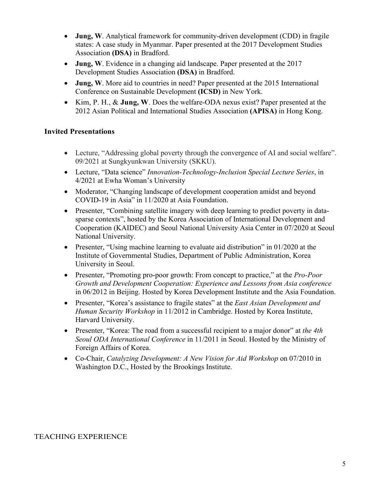- **Jung, W**. Analytical framework for community-driven development (CDD) in fragile states: A case study in Myanmar. Paper presented at the 2017 Development Studies Association **(DSA)** in Bradford.
- **Jung, W**. Evidence in a changing aid landscape. Paper presented at the 2017 Development Studies Association **(DSA)** in Bradford.
- **Jung, W**. More aid to countries in need? Paper presented at the 2015 International Conference on Sustainable Development **(ICSD)** in New York.
- Kim, P. H., & **Jung, W**. Does the welfare-ODA nexus exist? Paper presented at the 2012 Asian Political and International Studies Association **(APISA)** in Hong Kong.

## **Invited Presentations**

- Lecture, "Addressing global poverty through the convergence of AI and social welfare". 09/2021 at Sungkyunkwan University (SKKU).
- Lecture, "Data science" *Innovation-Technology-Inclusion Special Lecture Series*, in 4/2021 at Ewha Woman's University
- Moderator, "Changing landscape of development cooperation amidst and beyond COVID-19 in Asia" in 11/2020 at Asia Foundation.
- Presenter, "Combining satellite imagery with deep learning to predict poverty in datasparse contexts", hosted by the Korea Association of International Development and Cooperation (KAIDEC) and Seoul National University Asia Center in 07/2020 at Seoul National University.
- Presenter, "Using machine learning to evaluate aid distribution" in 01/2020 at the Institute of Governmental Studies, Department of Public Administration, Korea University in Seoul.
- Presenter, "Promoting pro-poor growth: From concept to practice," at the *Pro-Poor Growth and Development Cooperation: Experience and Lessons from Asia conference* in 06/2012 in Beijing. Hosted by Korea Development Institute and the Asia Foundation.
- Presenter, "Korea's assistance to fragile states" at the *East Asian Development and Human Security Workshop* in 11/2012 in Cambridge. Hosted by Korea Institute, Harvard University.
- Presenter, "Korea: The road from a successful recipient to a major donor" at *the 4th Seoul ODA International Conference* in 11/2011 in Seoul. Hosted by the Ministry of Foreign Affairs of Korea.
- Co-Chair, *Catalyzing Development: A New Vision for Aid Workshop* on 07/2010 in Washington D.C., Hosted by the Brookings Institute.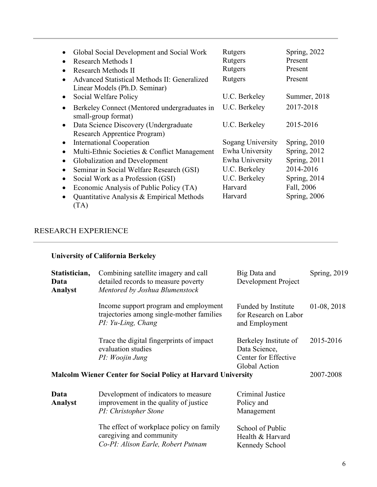|           | Global Social Development and Social Work                           | Rutgers                  | Spring, 2022   |
|-----------|---------------------------------------------------------------------|--------------------------|----------------|
|           | Research Methods I                                                  | Rutgers                  | Present        |
|           | Research Methods II                                                 | Rutgers                  | Present        |
|           | Advanced Statistical Methods II: Generalized                        | Rutgers                  | Present        |
|           | Linear Models (Ph.D. Seminar)                                       |                          |                |
| $\bullet$ | Social Welfare Policy                                               | U.C. Berkeley            | Summer, 2018   |
|           | Berkeley Connect (Mentored undergraduates in<br>small-group format) | U.C. Berkeley            | 2017-2018      |
|           | Data Science Discovery (Undergraduate                               | U.C. Berkeley            | 2015-2016      |
|           | Research Apprentice Program)                                        |                          |                |
| $\bullet$ | International Cooperation                                           | <b>Sogang University</b> | Spring, $2010$ |
| $\bullet$ | Multi-Ethnic Societies & Conflict Management                        | Ewha University          | Spring, 2012   |
|           | Globalization and Development                                       | Ewha University          | Spring, 2011   |
|           | Seminar in Social Welfare Research (GSI)                            | U.C. Berkeley            | 2014-2016      |
|           | Social Work as a Profession (GSI)                                   | U.C. Berkeley            | Spring, 2014   |
|           | Economic Analysis of Public Policy (TA)                             | Harvard                  | Fall, 2006     |
|           | Quantitative Analysis & Empirical Methods                           | Harvard                  | Spring, $2006$ |
|           |                                                                     |                          |                |

(TA)

#### RESEARCH EXPERIENCE

## **University of California Berkeley**

| Statistician,<br>Data<br>Analyst                                     | Combining satellite imagery and call<br>detailed records to measure poverty<br>Mentored by Joshua Blumenstock | Big Data and<br>Development Project                                             | Spring, 2019 |
|----------------------------------------------------------------------|---------------------------------------------------------------------------------------------------------------|---------------------------------------------------------------------------------|--------------|
|                                                                      | Income support program and employment<br>trajectories among single-mother families<br>PI: Yu-Ling, Chang      | Funded by Institute<br>for Research on Labor<br>and Employment                  | 01-08, 2018  |
|                                                                      | Trace the digital fingerprints of impact<br>evaluation studies<br>PI: Woojin Jung                             | Berkeley Institute of<br>Data Science,<br>Center for Effective<br>Global Action | 2015-2016    |
| <b>Malcolm Wiener Center for Social Policy at Harvard University</b> |                                                                                                               |                                                                                 |              |
| Data<br>Analyst                                                      | Development of indicators to measure<br>improvement in the quality of justice<br>PI: Christopher Stone        | Criminal Justice<br>Policy and<br>Management                                    |              |

The effect of workplace policy on family caregiving and community *Co-PI: Alison Earle, Robert Putnam* School of Public Health & Harvard Kennedy School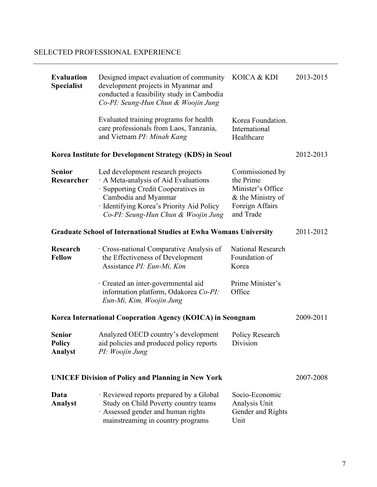# SELECTED PROFESSIONAL EXPERIENCE

| <b>Evaluation</b><br><b>Specialist</b>                                    | Designed impact evaluation of community KOICA & KDI<br>development projects in Myanmar and<br>conducted a feasibility study in Cambodia<br>Co-PI: Seung-Hun Chun & Woojin Jung                                               |                                                                                                        | 2013-2015 |  |  |
|---------------------------------------------------------------------------|------------------------------------------------------------------------------------------------------------------------------------------------------------------------------------------------------------------------------|--------------------------------------------------------------------------------------------------------|-----------|--|--|
|                                                                           | Evaluated training programs for health<br>care professionals from Laos, Tanzania,<br>and Vietnam PI: Minah Kang                                                                                                              | Korea Foundation.<br>International<br>Healthcare                                                       |           |  |  |
| Korea Institute for Development Strategy (KDS) in Seoul                   |                                                                                                                                                                                                                              |                                                                                                        |           |  |  |
| <b>Senior</b><br>Researcher                                               | Led development research projects<br>· A Meta-analysis of Aid Evaluations<br>· Supporting Credit Cooperatives in<br>Cambodia and Myanmar<br>· Identifying Korea's Priority Aid Policy<br>Co-PI: Seung-Hun Chun & Woojin Jung | Commissioned by<br>the Prime<br>Minister's Office<br>& the Ministry of<br>Foreign Affairs<br>and Trade |           |  |  |
| <b>Graduate School of International Studies at Ewha Womans University</b> |                                                                                                                                                                                                                              |                                                                                                        |           |  |  |
| <b>Research</b><br><b>Fellow</b>                                          | · Cross-national Comparative Analysis of<br>the Effectiveness of Development<br>Assistance PI: Eun-Mi, Kim                                                                                                                   | <b>National Research</b><br>Foundation of<br>Korea                                                     |           |  |  |
|                                                                           | · Created an inter-governmental aid<br>information platform, Odakorea Co-PI:<br>Eun-Mi, Kim, Woojin Jung                                                                                                                     | Prime Minister's<br>Office                                                                             |           |  |  |
|                                                                           | Korea International Cooperation Agency (KOICA) in Seongnam                                                                                                                                                                   |                                                                                                        | 2009-2011 |  |  |
| <b>Senior</b><br><b>Policy</b><br>Analyst                                 | Analyzed OECD country's development<br>aid policies and produced policy reports<br>PI: Woojin Jung                                                                                                                           | Policy Research<br>Division                                                                            |           |  |  |
| <b>UNICEF Division of Policy and Planning in New York</b><br>2007-2008    |                                                                                                                                                                                                                              |                                                                                                        |           |  |  |
| Data<br><b>Analyst</b>                                                    | · Reviewed reports prepared by a Global<br>Study on Child Poverty country teams<br>· Assessed gender and human rights<br>mainstreaming in country programs                                                                   | Socio-Economic<br>Analysis Unit<br>Gender and Rights<br>Unit                                           |           |  |  |